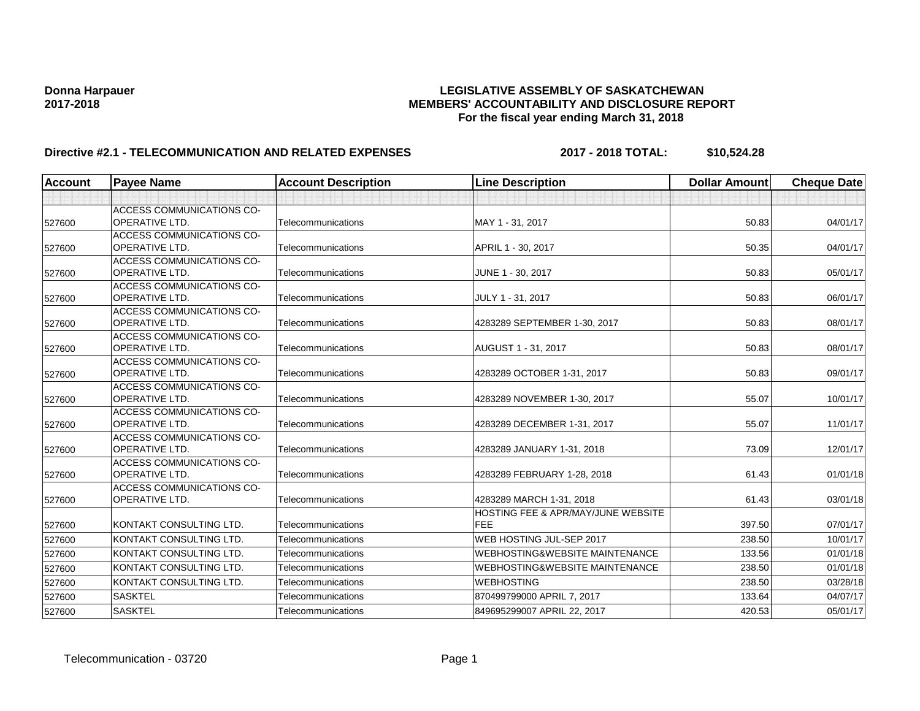# **Donna Harpauer LEGISLATIVE ASSEMBLY OF SASKATCHEWAN 2017-2018 MEMBERS' ACCOUNTABILITY AND DISCLOSURE REPORT For the fiscal year ending March 31, 2018**

# **Directive #2.1 - TELECOMMUNICATION AND RELATED EXPENSES 2017 - 2018 TOTAL: \$10,524.28**

| <b>Account</b> | <b>Payee Name</b>                                         | <b>Account Description</b> | <b>Line Description</b>                              | <b>Dollar Amount</b> | <b>Cheque Date</b> |
|----------------|-----------------------------------------------------------|----------------------------|------------------------------------------------------|----------------------|--------------------|
|                |                                                           |                            |                                                      |                      |                    |
| 527600         | <b>ACCESS COMMUNICATIONS CO-</b><br><b>OPERATIVE LTD.</b> | Telecommunications         | MAY 1 - 31, 2017                                     | 50.83                | 04/01/17           |
| 527600         | <b>ACCESS COMMUNICATIONS CO-</b><br><b>OPERATIVE LTD.</b> | Telecommunications         | APRIL 1 - 30, 2017                                   | 50.35                | 04/01/17           |
| 527600         | <b>ACCESS COMMUNICATIONS CO-</b><br><b>OPERATIVE LTD.</b> | Telecommunications         | JUNE 1 - 30, 2017                                    | 50.83                | 05/01/17           |
| 527600         | <b>ACCESS COMMUNICATIONS CO-</b><br><b>OPERATIVE LTD.</b> | Telecommunications         | JULY 1 - 31, 2017                                    | 50.83                | 06/01/17           |
| 527600         | <b>ACCESS COMMUNICATIONS CO-</b><br><b>OPERATIVE LTD.</b> | Telecommunications         | 4283289 SEPTEMBER 1-30, 2017                         | 50.83                | 08/01/17           |
| 527600         | ACCESS COMMUNICATIONS CO-<br><b>OPERATIVE LTD.</b>        | Telecommunications         | AUGUST 1 - 31, 2017                                  | 50.83                | 08/01/17           |
| 527600         | <b>ACCESS COMMUNICATIONS CO-</b><br>OPERATIVE LTD.        | Telecommunications         | 4283289 OCTOBER 1-31, 2017                           | 50.83                | 09/01/17           |
| 527600         | <b>ACCESS COMMUNICATIONS CO-</b><br><b>OPERATIVE LTD.</b> | Telecommunications         | 4283289 NOVEMBER 1-30, 2017                          | 55.07                | 10/01/17           |
| 527600         | <b>ACCESS COMMUNICATIONS CO-</b><br><b>OPERATIVE LTD.</b> | Telecommunications         | 4283289 DECEMBER 1-31, 2017                          | 55.07                | 11/01/17           |
| 527600         | <b>ACCESS COMMUNICATIONS CO-</b><br><b>OPERATIVE LTD.</b> | Telecommunications         | 4283289 JANUARY 1-31, 2018                           | 73.09                | 12/01/17           |
| 527600         | <b>ACCESS COMMUNICATIONS CO-</b><br><b>OPERATIVE LTD.</b> | Telecommunications         | 4283289 FEBRUARY 1-28, 2018                          | 61.43                | 01/01/18           |
| 527600         | <b>ACCESS COMMUNICATIONS CO-</b><br><b>OPERATIVE LTD.</b> | Telecommunications         | 4283289 MARCH 1-31, 2018                             | 61.43                | 03/01/18           |
| 527600         | KONTAKT CONSULTING LTD.                                   | Telecommunications         | <b>HOSTING FEE &amp; APR/MAY/JUNE WEBSITE</b><br>FEE | 397.50               | 07/01/17           |
| 527600         | KONTAKT CONSULTING LTD.                                   | Telecommunications         | WEB HOSTING JUL-SEP 2017                             | 238.50               | 10/01/17           |
| 527600         | KONTAKT CONSULTING LTD.                                   | Telecommunications         | <b>WEBHOSTING&amp;WEBSITE MAINTENANCE</b>            | 133.56               | 01/01/18           |
| 527600         | KONTAKT CONSULTING LTD.                                   | Telecommunications         | <b>WEBHOSTING&amp;WEBSITE MAINTENANCE</b>            | 238.50               | 01/01/18           |
| 527600         | KONTAKT CONSULTING LTD.                                   | Telecommunications         | <b>WEBHOSTING</b>                                    | 238.50               | 03/28/18           |
| 527600         | <b>SASKTEL</b>                                            | Telecommunications         | 870499799000 APRIL 7, 2017                           | 133.64               | 04/07/17           |
| 527600         | <b>SASKTEL</b>                                            | Telecommunications         | 849695299007 APRIL 22, 2017                          | 420.53               | 05/01/17           |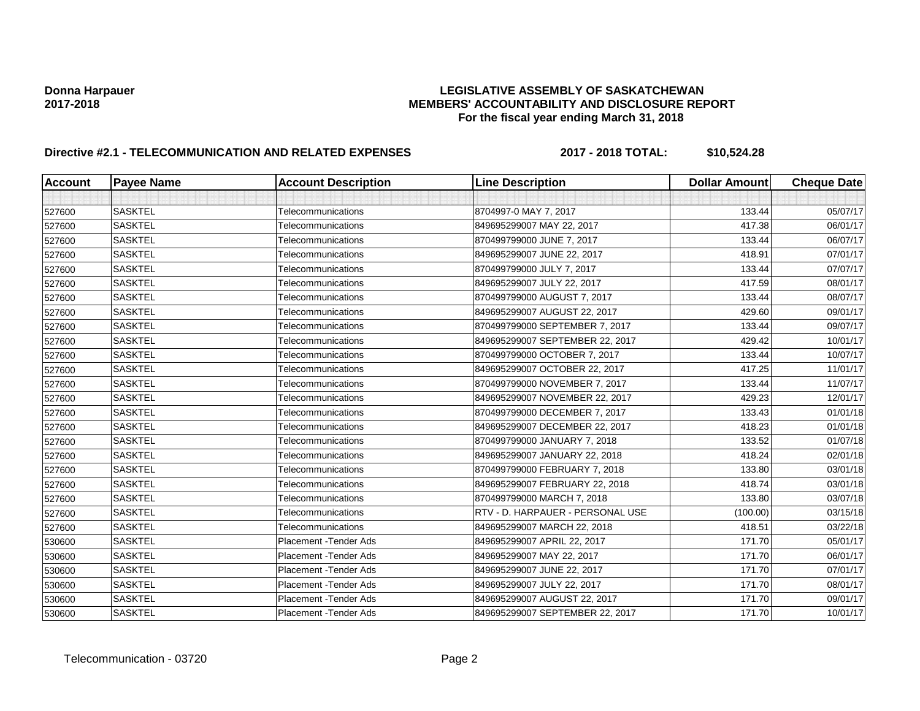# **Donna Harpauer LEGISLATIVE ASSEMBLY OF SASKATCHEWAN 2017-2018 MEMBERS' ACCOUNTABILITY AND DISCLOSURE REPORT For the fiscal year ending March 31, 2018**

# **Directive #2.1 - TELECOMMUNICATION AND RELATED EXPENSES 2017 - 2018 TOTAL: \$10,524.28**

| <b>Account</b> | <b>Payee Name</b> | <b>Account Description</b>    | <b>Line Description</b>          | <b>Dollar Amount</b> | <b>Cheque Date</b> |
|----------------|-------------------|-------------------------------|----------------------------------|----------------------|--------------------|
|                |                   |                               |                                  |                      |                    |
| 527600         | <b>SASKTEL</b>    | Telecommunications            | 8704997-0 MAY 7, 2017            | 133.44               | 05/07/17           |
| 527600         | <b>SASKTEL</b>    | Telecommunications            | 849695299007 MAY 22, 2017        | 417.38               | 06/01/17           |
| 527600         | <b>SASKTEL</b>    | Telecommunications            | 870499799000 JUNE 7, 2017        | 133.44               | 06/07/17           |
| 527600         | <b>SASKTEL</b>    | Telecommunications            | 849695299007 JUNE 22, 2017       | 418.91               | 07/01/17           |
| 527600         | <b>SASKTEL</b>    | Telecommunications            | 870499799000 JULY 7, 2017        | 133.44               | 07/07/17           |
| 527600         | <b>SASKTEL</b>    | Telecommunications            | 849695299007 JULY 22, 2017       | 417.59               | 08/01/17           |
| 527600         | <b>SASKTEL</b>    | Telecommunications            | 870499799000 AUGUST 7, 2017      | 133.44               | 08/07/17           |
| 527600         | <b>SASKTEL</b>    | Telecommunications            | 849695299007 AUGUST 22, 2017     | 429.60               | 09/01/17           |
| 527600         | <b>SASKTEL</b>    | Telecommunications            | 870499799000 SEPTEMBER 7, 2017   | 133.44               | 09/07/17           |
| 527600         | <b>SASKTEL</b>    | Telecommunications            | 849695299007 SEPTEMBER 22, 2017  | 429.42               | 10/01/17           |
| 527600         | <b>SASKTEL</b>    | Telecommunications            | 870499799000 OCTOBER 7, 2017     | 133.44               | 10/07/17           |
| 527600         | <b>SASKTEL</b>    | Telecommunications            | 849695299007 OCTOBER 22, 2017    | 417.25               | 11/01/17           |
| 527600         | <b>SASKTEL</b>    | Telecommunications            | 870499799000 NOVEMBER 7, 2017    | 133.44               | 11/07/17           |
| 527600         | <b>SASKTEL</b>    | Telecommunications            | 849695299007 NOVEMBER 22, 2017   | 429.23               | 12/01/17           |
| 527600         | <b>SASKTEL</b>    | Telecommunications            | 870499799000 DECEMBER 7, 2017    | 133.43               | 01/01/18           |
| 527600         | <b>SASKTEL</b>    | Telecommunications            | 849695299007 DECEMBER 22, 2017   | 418.23               | 01/01/18           |
| 527600         | <b>SASKTEL</b>    | Telecommunications            | 870499799000 JANUARY 7, 2018     | 133.52               | 01/07/18           |
| 527600         | <b>SASKTEL</b>    | Telecommunications            | 849695299007 JANUARY 22, 2018    | 418.24               | 02/01/18           |
| 527600         | <b>SASKTEL</b>    | Telecommunications            | 870499799000 FEBRUARY 7, 2018    | 133.80               | 03/01/18           |
| 527600         | <b>SASKTEL</b>    | Telecommunications            | 849695299007 FEBRUARY 22, 2018   | 418.74               | 03/01/18           |
| 527600         | <b>SASKTEL</b>    | Telecommunications            | 870499799000 MARCH 7, 2018       | 133.80               | 03/07/18           |
| 527600         | <b>SASKTEL</b>    | Telecommunications            | RTV - D. HARPAUER - PERSONAL USE | (100.00)             | 03/15/18           |
| 527600         | <b>SASKTEL</b>    | Telecommunications            | 849695299007 MARCH 22, 2018      | 418.51               | 03/22/18           |
| 530600         | <b>SASKTEL</b>    | <b>Placement - Tender Ads</b> | 849695299007 APRIL 22, 2017      | 171.70               | 05/01/17           |
| 530600         | <b>SASKTEL</b>    | <b>Placement - Tender Ads</b> | 849695299007 MAY 22, 2017        | 171.70               | 06/01/17           |
| 530600         | <b>SASKTEL</b>    | <b>Placement - Tender Ads</b> | 849695299007 JUNE 22, 2017       | 171.70               | 07/01/17           |
| 530600         | <b>SASKTEL</b>    | Placement - Tender Ads        | 849695299007 JULY 22, 2017       | 171.70               | 08/01/17           |
| 530600         | <b>SASKTEL</b>    | <b>Placement - Tender Ads</b> | 849695299007 AUGUST 22, 2017     | 171.70               | 09/01/17           |
| 530600         | <b>SASKTEL</b>    | Placement - Tender Ads        | 849695299007 SEPTEMBER 22, 2017  | 171.70               | 10/01/17           |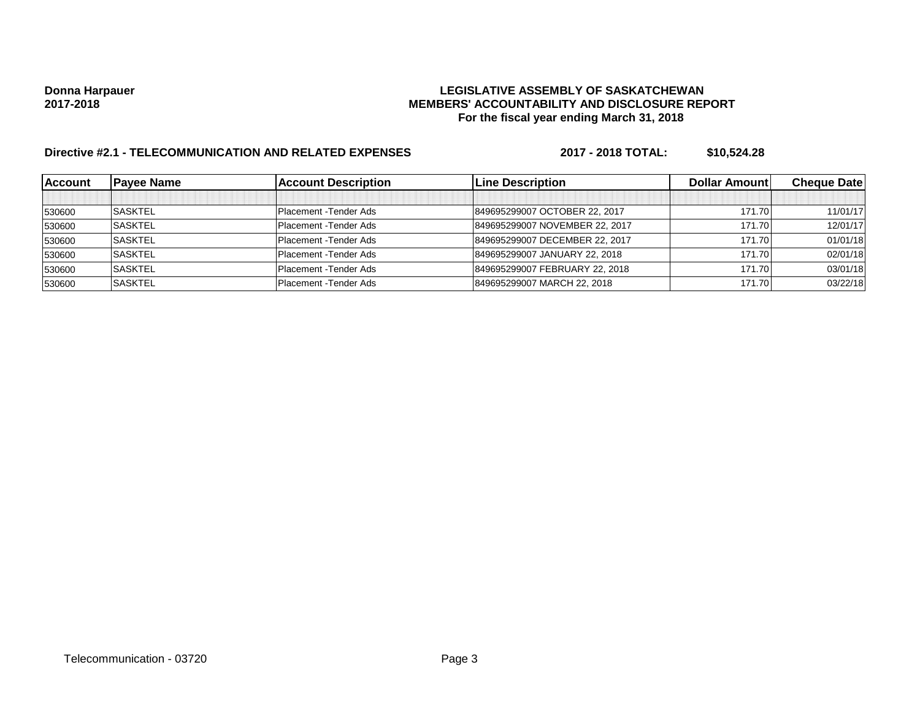# **Donna Harpauer LEGISLATIVE ASSEMBLY OF SASKATCHEWAN 2017-2018 MEMBERS' ACCOUNTABILITY AND DISCLOSURE REPORT For the fiscal year ending March 31, 2018**

# **Directive #2.1 - TELECOMMUNICATION AND RELATED EXPENSES 2017 - 2018 TOTAL: \$10,524.28**

| <b>Account</b> | <b>Pavee Name</b> | <b>Account Description</b> | <b>ILine Description</b>       | <b>Dollar Amountl</b> | <b>Cheque Datel</b> |
|----------------|-------------------|----------------------------|--------------------------------|-----------------------|---------------------|
|                |                   |                            |                                |                       |                     |
| 530600         | <b>SASKTEL</b>    | Placement - Tender Ads     | 849695299007 OCTOBER 22, 2017  | 171.70                | 11/01/17            |
| 530600         | <b>SASKTEL</b>    | Placement - Tender Ads     | 849695299007 NOVEMBER 22, 2017 | 171.70                | 12/01/17            |
| 530600         | <b>SASKTEL</b>    | Placement - Tender Ads     | 849695299007 DECEMBER 22, 2017 | 171.70                | 01/01/18            |
| 530600         | <b>SASKTEL</b>    | Placement - Tender Ads     | 849695299007 JANUARY 22, 2018  | 171.70                | 02/01/18            |
| 530600         | <b>SASKTEL</b>    | Placement - Tender Ads     | 849695299007 FEBRUARY 22, 2018 | 171.70                | 03/01/18            |
| 530600         | <b>SASKTEL</b>    | Placement - Tender Ads     | 849695299007 MARCH 22, 2018    | 171.70                | 03/22/18            |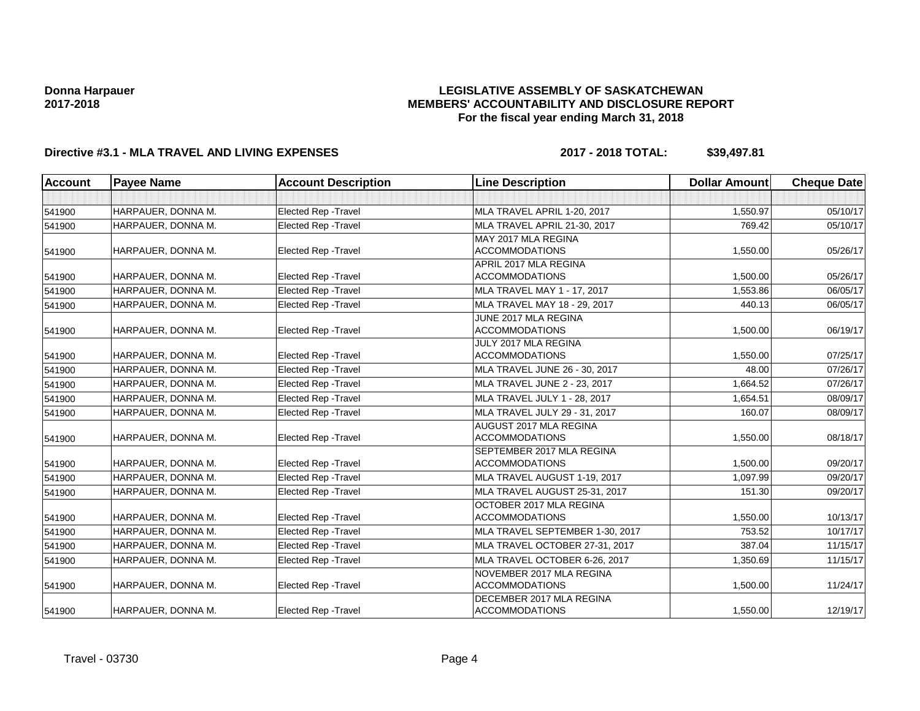## **LEGISLATIVE ASSEMBLY OF SASKATCHEWAN MEMBERS' ACCOUNTABILITY AND DISCLOSURE REPORT For the fiscal year ending March 31, 2018**

# **Directive #3.1 - MLA TRAVEL AND LIVING EXPENSES 2017 - 2018 TOTAL: \$39,497.81**

| <b>Account</b> | <b>Payee Name</b>  | <b>Account Description</b>  | <b>Line Description</b>                            | <b>Dollar Amount</b> | <b>Cheque Date</b> |
|----------------|--------------------|-----------------------------|----------------------------------------------------|----------------------|--------------------|
|                |                    |                             |                                                    |                      |                    |
| 541900         | HARPAUER, DONNA M. | <b>Elected Rep - Travel</b> | MLA TRAVEL APRIL 1-20, 2017                        | 1,550.97             | 05/10/17           |
| 541900         | HARPAUER, DONNA M. | <b>Elected Rep - Travel</b> | MLA TRAVEL APRIL 21-30, 2017                       | 769.42               | 05/10/17           |
|                |                    |                             | MAY 2017 MLA REGINA                                |                      |                    |
| 541900         | HARPAUER, DONNA M. | <b>Elected Rep - Travel</b> | <b>ACCOMMODATIONS</b>                              | 1,550.00             | 05/26/17           |
|                |                    |                             | APRIL 2017 MLA REGINA                              |                      |                    |
| 541900         | HARPAUER, DONNA M. | <b>Elected Rep - Travel</b> | <b>ACCOMMODATIONS</b>                              | 1,500.00             | 05/26/17           |
| 541900         | HARPAUER, DONNA M. | Elected Rep - Travel        | MLA TRAVEL MAY 1 - 17, 2017                        | 1,553.86             | 06/05/17           |
| 541900         | HARPAUER, DONNA M. | <b>Elected Rep - Travel</b> | MLA TRAVEL MAY 18 - 29, 2017                       | 440.13               | 06/05/17           |
|                |                    |                             | JUNE 2017 MLA REGINA                               |                      |                    |
| 541900         | HARPAUER, DONNA M. | <b>Elected Rep - Travel</b> | <b>ACCOMMODATIONS</b>                              | 1,500.00             | 06/19/17           |
|                |                    |                             | JULY 2017 MLA REGINA                               |                      |                    |
| 541900         | HARPAUER, DONNA M. | Elected Rep - Travel        | <b>ACCOMMODATIONS</b>                              | 1,550.00             | 07/25/17           |
| 541900         | HARPAUER, DONNA M. | <b>Elected Rep - Travel</b> | MLA TRAVEL JUNE 26 - 30, 2017                      | 48.00                | 07/26/17           |
| 541900         | HARPAUER, DONNA M. | <b>Elected Rep - Travel</b> | MLA TRAVEL JUNE 2 - 23, 2017                       | 1,664.52             | 07/26/17           |
| 541900         | HARPAUER, DONNA M. | <b>Elected Rep - Travel</b> | MLA TRAVEL JULY 1 - 28, 2017                       | 1,654.51             | 08/09/17           |
| 541900         | HARPAUER, DONNA M. | <b>Elected Rep - Travel</b> | MLA TRAVEL JULY 29 - 31, 2017                      | 160.07               | 08/09/17           |
|                |                    |                             | AUGUST 2017 MLA REGINA                             |                      |                    |
| 541900         | HARPAUER, DONNA M. | <b>Elected Rep - Travel</b> | <b>ACCOMMODATIONS</b>                              | 1,550.00             | 08/18/17           |
|                | HARPAUER, DONNA M. | <b>Elected Rep - Travel</b> | SEPTEMBER 2017 MLA REGINA<br><b>ACCOMMODATIONS</b> | 1,500.00             | 09/20/17           |
| 541900         | HARPAUER, DONNA M. |                             |                                                    | 1,097.99             |                    |
| 541900         |                    | <b>Elected Rep - Travel</b> | MLA TRAVEL AUGUST 1-19, 2017                       |                      | 09/20/17           |
| 541900         | HARPAUER, DONNA M. | <b>Elected Rep - Travel</b> | MLA TRAVEL AUGUST 25-31, 2017                      | 151.30               | 09/20/17           |
|                | HARPAUER, DONNA M. | <b>Elected Rep - Travel</b> | OCTOBER 2017 MLA REGINA<br><b>ACCOMMODATIONS</b>   | 1,550.00             | 10/13/17           |
| 541900         | HARPAUER, DONNA M. | Elected Rep - Travel        | MLA TRAVEL SEPTEMBER 1-30, 2017                    | 753.52               | 10/17/17           |
| 541900         | HARPAUER. DONNA M. |                             | MLA TRAVEL OCTOBER 27-31, 2017                     | 387.04               | 11/15/17           |
| 541900         |                    | <b>Elected Rep - Travel</b> |                                                    |                      |                    |
| 541900         | HARPAUER, DONNA M. | <b>Elected Rep - Travel</b> | MLA TRAVEL OCTOBER 6-26, 2017                      | 1,350.69             | 11/15/17           |
|                | HARPAUER, DONNA M. | <b>Elected Rep - Travel</b> | NOVEMBER 2017 MLA REGINA<br><b>ACCOMMODATIONS</b>  | 1,500.00             | 11/24/17           |
| 541900         |                    |                             | DECEMBER 2017 MLA REGINA                           |                      |                    |
| 541900         | HARPAUER, DONNA M. | <b>Elected Rep - Travel</b> | <b>ACCOMMODATIONS</b>                              | 1,550.00             | 12/19/17           |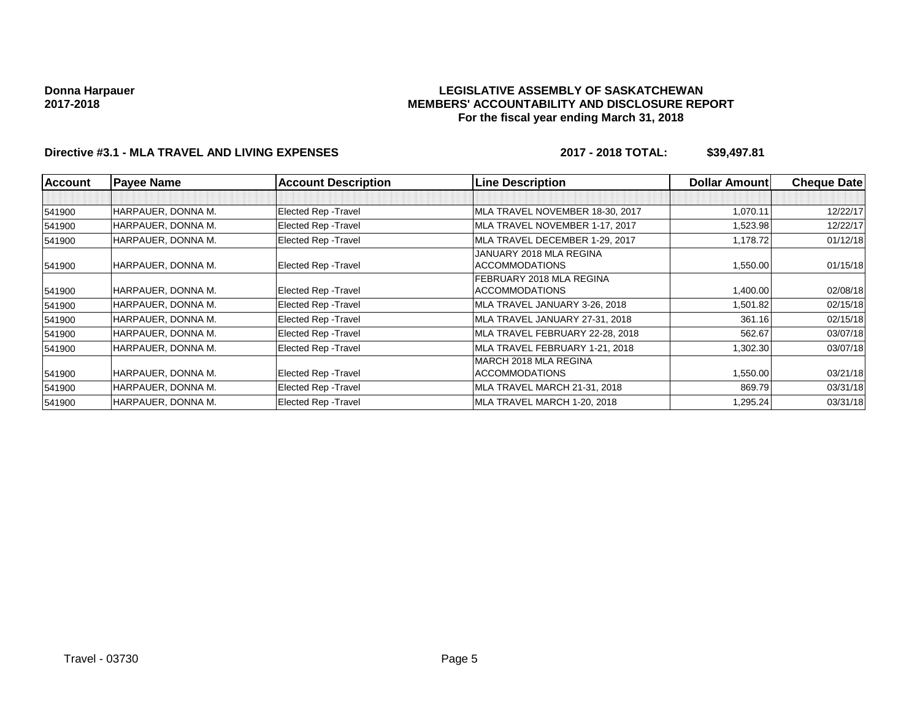### **LEGISLATIVE ASSEMBLY OF SASKATCHEWAN MEMBERS' ACCOUNTABILITY AND DISCLOSURE REPORT For the fiscal year ending March 31, 2018**

# **Directive #3.1 - MLA TRAVEL AND LIVING EXPENSES 2017 - 2018 TOTAL: \$39,497.81**

| <b>Account</b> | <b>Payee Name</b>  | <b>Account Description</b>  | <b>Line Description</b>                          | <b>Dollar Amount</b> | <b>Cheque Date</b> |
|----------------|--------------------|-----------------------------|--------------------------------------------------|----------------------|--------------------|
|                |                    |                             |                                                  |                      |                    |
| 541900         | HARPAUER, DONNA M. | Elected Rep - Travel        | MLA TRAVEL NOVEMBER 18-30, 2017                  | 1,070.11             | 12/22/17           |
| 541900         | HARPAUER, DONNA M. | Elected Rep - Travel        | MLA TRAVEL NOVEMBER 1-17, 2017                   | 1,523.98             | 12/22/17           |
| 541900         | HARPAUER, DONNA M. | Elected Rep - Travel        | MLA TRAVEL DECEMBER 1-29, 2017                   | 1,178.72             | 01/12/18           |
| 541900         | HARPAUER, DONNA M. | Elected Rep - Travel        | JANUARY 2018 MLA REGINA<br><b>ACCOMMODATIONS</b> | 1,550.00             | 01/15/18           |
|                |                    |                             | FEBRUARY 2018 MLA REGINA                         |                      |                    |
| 541900         | HARPAUER, DONNA M. | Elected Rep - Travel        | <b>ACCOMMODATIONS</b>                            | 1,400.00             | 02/08/18           |
| 541900         | HARPAUER, DONNA M. | Elected Rep - Travel        | MLA TRAVEL JANUARY 3-26, 2018                    | 1,501.82             | 02/15/18           |
| 541900         | HARPAUER, DONNA M. | <b>Elected Rep - Travel</b> | MLA TRAVEL JANUARY 27-31, 2018                   | 361.16               | 02/15/18           |
| 541900         | HARPAUER, DONNA M. | Elected Rep - Travel        | MLA TRAVEL FEBRUARY 22-28, 2018                  | 562.67               | 03/07/18           |
| 541900         | HARPAUER, DONNA M. | Elected Rep - Travel        | MLA TRAVEL FEBRUARY 1-21, 2018                   | 1,302.30             | 03/07/18           |
|                |                    |                             | MARCH 2018 MLA REGINA                            |                      |                    |
| 541900         | HARPAUER, DONNA M. | Elected Rep - Travel        | <b>ACCOMMODATIONS</b>                            | 1,550.00             | 03/21/18           |
| 541900         | HARPAUER, DONNA M. | Elected Rep - Travel        | MLA TRAVEL MARCH 21-31, 2018                     | 869.79               | 03/31/18           |
| 541900         | HARPAUER, DONNA M. | Elected Rep - Travel        | MLA TRAVEL MARCH 1-20, 2018                      | 1,295.24             | 03/31/18           |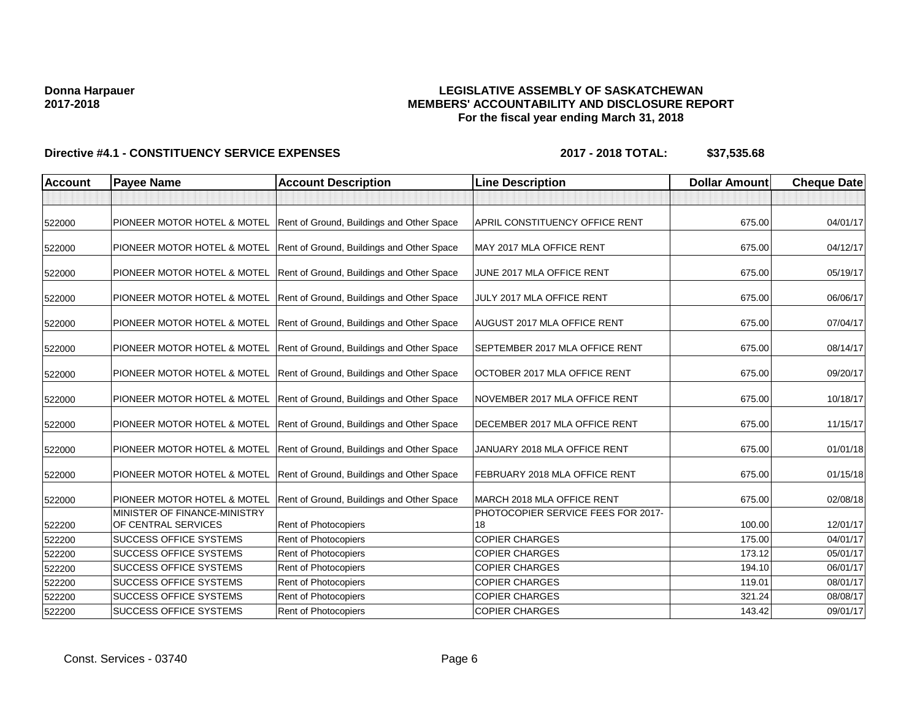## **LEGISLATIVE ASSEMBLY OF SASKATCHEWAN MEMBERS' ACCOUNTABILITY AND DISCLOSURE REPORT For the fiscal year ending March 31, 2018**

| <b>Account</b> | <b>Payee Name</b>                                   | <b>Account Description</b>                                            | <b>Line Description</b>                  | <b>Dollar Amount</b> | <b>Cheque Date</b> |
|----------------|-----------------------------------------------------|-----------------------------------------------------------------------|------------------------------------------|----------------------|--------------------|
|                |                                                     |                                                                       |                                          |                      |                    |
| 522000         |                                                     | PIONEER MOTOR HOTEL & MOTEL Rent of Ground, Buildings and Other Space | APRIL CONSTITUENCY OFFICE RENT           | 675.00               | 04/01/17           |
| 522000         | PIONEER MOTOR HOTEL & MOTEL                         | Rent of Ground, Buildings and Other Space                             | MAY 2017 MLA OFFICE RENT                 | 675.00               | 04/12/17           |
| 522000         | PIONEER MOTOR HOTEL & MOTEL                         | Rent of Ground, Buildings and Other Space                             | JUNE 2017 MLA OFFICE RENT                | 675.00               | 05/19/17           |
| 522000         | PIONEER MOTOR HOTEL & MOTEL                         | Rent of Ground, Buildings and Other Space                             | JULY 2017 MLA OFFICE RENT                | 675.00               | 06/06/17           |
| 522000         | PIONEER MOTOR HOTEL & MOTEL                         | Rent of Ground, Buildings and Other Space                             | <b>AUGUST 2017 MLA OFFICE RENT</b>       | 675.00               | 07/04/17           |
| 522000         | PIONEER MOTOR HOTEL & MOTEL                         | Rent of Ground, Buildings and Other Space                             | <b>SEPTEMBER 2017 MLA OFFICE RENT</b>    | 675.00               | 08/14/17           |
| 522000         | PIONEER MOTOR HOTEL & MOTEL                         | Rent of Ground, Buildings and Other Space                             | OCTOBER 2017 MLA OFFICE RENT             | 675.00               | 09/20/17           |
| 522000         |                                                     | PIONEER MOTOR HOTEL & MOTEL Rent of Ground, Buildings and Other Space | NOVEMBER 2017 MLA OFFICE RENT            | 675.00               | 10/18/17           |
| 522000         |                                                     | PIONEER MOTOR HOTEL & MOTEL Rent of Ground, Buildings and Other Space | DECEMBER 2017 MLA OFFICE RENT            | 675.00               | 11/15/17           |
| 522000         | PIONEER MOTOR HOTEL & MOTEL                         | Rent of Ground, Buildings and Other Space                             | JANUARY 2018 MLA OFFICE RENT             | 675.00               | 01/01/18           |
| 522000         | PIONEER MOTOR HOTEL & MOTEL                         | Rent of Ground, Buildings and Other Space                             | FEBRUARY 2018 MLA OFFICE RENT            | 675.00               | 01/15/18           |
| 522000         | PIONEER MOTOR HOTEL & MOTEL                         | Rent of Ground, Buildings and Other Space                             | MARCH 2018 MLA OFFICE RENT               | 675.00               | 02/08/18           |
| 522200         | MINISTER OF FINANCE-MINISTRY<br>OF CENTRAL SERVICES | Rent of Photocopiers                                                  | PHOTOCOPIER SERVICE FEES FOR 2017-<br>18 | 100.00               | 12/01/17           |
| 522200         | <b>SUCCESS OFFICE SYSTEMS</b>                       | Rent of Photocopiers                                                  | <b>COPIER CHARGES</b>                    | 175.00               | 04/01/17           |
| 522200         | SUCCESS OFFICE SYSTEMS                              | Rent of Photocopiers                                                  | <b>COPIER CHARGES</b>                    | 173.12               | 05/01/17           |
| 522200         | SUCCESS OFFICE SYSTEMS                              | Rent of Photocopiers                                                  | <b>COPIER CHARGES</b>                    | 194.10               | 06/01/17           |
| 522200         | SUCCESS OFFICE SYSTEMS                              | Rent of Photocopiers                                                  | <b>COPIER CHARGES</b>                    | 119.01               | 08/01/17           |
| 522200         | <b>SUCCESS OFFICE SYSTEMS</b>                       | <b>Rent of Photocopiers</b>                                           | <b>COPIER CHARGES</b>                    | 321.24               | 08/08/17           |
| 522200         | <b>SUCCESS OFFICE SYSTEMS</b>                       | Rent of Photocopiers                                                  | <b>COPIER CHARGES</b>                    | 143.42               | 09/01/17           |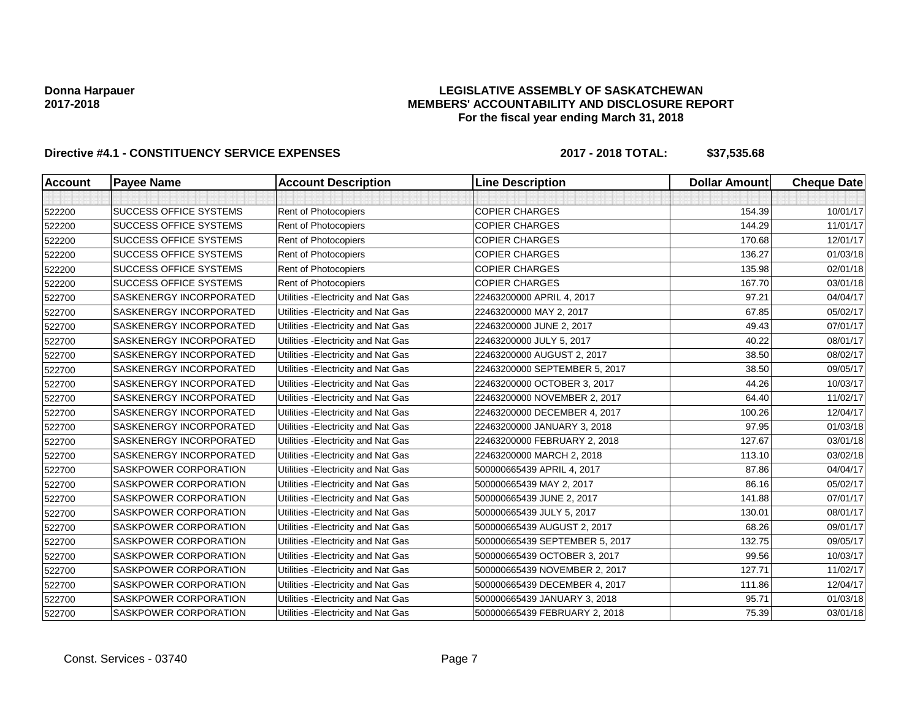### **LEGISLATIVE ASSEMBLY OF SASKATCHEWAN MEMBERS' ACCOUNTABILITY AND DISCLOSURE REPORT For the fiscal year ending March 31, 2018**

| <b>Account</b> | <b>Payee Name</b>              | <b>Account Description</b>          | <b>Line Description</b>        | <b>Dollar Amount</b> | <b>Cheque Date</b> |
|----------------|--------------------------------|-------------------------------------|--------------------------------|----------------------|--------------------|
|                |                                |                                     |                                |                      |                    |
| 522200         | <b>SUCCESS OFFICE SYSTEMS</b>  | Rent of Photocopiers                | <b>COPIER CHARGES</b>          | 154.39               | 10/01/17           |
| 522200         | <b>SUCCESS OFFICE SYSTEMS</b>  | Rent of Photocopiers                | <b>COPIER CHARGES</b>          | 144.29               | 11/01/17           |
| 522200         | <b>SUCCESS OFFICE SYSTEMS</b>  | Rent of Photocopiers                | <b>COPIER CHARGES</b>          | 170.68               | 12/01/17           |
| 522200         | <b>SUCCESS OFFICE SYSTEMS</b>  | Rent of Photocopiers                | <b>COPIER CHARGES</b>          | 136.27               | 01/03/18           |
| 522200         | <b>SUCCESS OFFICE SYSTEMS</b>  | Rent of Photocopiers                | <b>COPIER CHARGES</b>          | 135.98               | 02/01/18           |
| 522200         | <b>SUCCESS OFFICE SYSTEMS</b>  | Rent of Photocopiers                | <b>COPIER CHARGES</b>          | 167.70               | 03/01/18           |
| 522700         | SASKENERGY INCORPORATED        | Utilities - Electricity and Nat Gas | 22463200000 APRIL 4, 2017      | 97.21                | 04/04/17           |
| 522700         | SASKENERGY INCORPORATED        | Utilities - Electricity and Nat Gas | 22463200000 MAY 2, 2017        | 67.85                | 05/02/17           |
| 522700         | SASKENERGY INCORPORATED        | Utilities - Electricity and Nat Gas | 22463200000 JUNE 2, 2017       | 49.43                | 07/01/17           |
| 522700         | SASKENERGY INCORPORATED        | Utilities - Electricity and Nat Gas | 22463200000 JULY 5, 2017       | 40.22                | 08/01/17           |
| 522700         | SASKENERGY INCORPORATED        | Utilities - Electricity and Nat Gas | 22463200000 AUGUST 2, 2017     | 38.50                | 08/02/17           |
| 522700         | <b>SASKENERGY INCORPORATED</b> | Utilities - Electricity and Nat Gas | 22463200000 SEPTEMBER 5, 2017  | 38.50                | 09/05/17           |
| 522700         | SASKENERGY INCORPORATED        | Utilities - Electricity and Nat Gas | 22463200000 OCTOBER 3, 2017    | 44.26                | 10/03/17           |
| 522700         | SASKENERGY INCORPORATED        | Utilities - Electricity and Nat Gas | 22463200000 NOVEMBER 2, 2017   | 64.40                | 11/02/17           |
| 522700         | SASKENERGY INCORPORATED        | Utilities - Electricity and Nat Gas | 22463200000 DECEMBER 4, 2017   | 100.26               | 12/04/17           |
| 522700         | SASKENERGY INCORPORATED        | Utilities - Electricity and Nat Gas | 22463200000 JANUARY 3, 2018    | 97.95                | 01/03/18           |
| 522700         | SASKENERGY INCORPORATED        | Utilities - Electricity and Nat Gas | 22463200000 FEBRUARY 2, 2018   | 127.67               | 03/01/18           |
| 522700         | SASKENERGY INCORPORATED        | Utilities - Electricity and Nat Gas | 22463200000 MARCH 2, 2018      | 113.10               | 03/02/18           |
| 522700         | <b>SASKPOWER CORPORATION</b>   | Utilities - Electricity and Nat Gas | 500000665439 APRIL 4, 2017     | 87.86                | 04/04/17           |
| 522700         | <b>SASKPOWER CORPORATION</b>   | Utilities - Electricity and Nat Gas | 500000665439 MAY 2, 2017       | 86.16                | 05/02/17           |
| 522700         | SASKPOWER CORPORATION          | Utilities - Electricity and Nat Gas | 500000665439 JUNE 2, 2017      | 141.88               | 07/01/17           |
| 522700         | <b>SASKPOWER CORPORATION</b>   | Utilities - Electricity and Nat Gas | 500000665439 JULY 5, 2017      | 130.01               | 08/01/17           |
| 522700         | SASKPOWER CORPORATION          | Utilities - Electricity and Nat Gas | 500000665439 AUGUST 2, 2017    | 68.26                | 09/01/17           |
| 522700         | SASKPOWER CORPORATION          | Utilities - Electricity and Nat Gas | 500000665439 SEPTEMBER 5, 2017 | 132.75               | 09/05/17           |
| 522700         | <b>SASKPOWER CORPORATION</b>   | Utilities - Electricity and Nat Gas | 500000665439 OCTOBER 3, 2017   | 99.56                | 10/03/17           |
| 522700         | SASKPOWER CORPORATION          | Utilities - Electricity and Nat Gas | 500000665439 NOVEMBER 2, 2017  | 127.71               | 11/02/17           |
| 522700         | <b>SASKPOWER CORPORATION</b>   | Utilities - Electricity and Nat Gas | 500000665439 DECEMBER 4, 2017  | 111.86               | 12/04/17           |
| 522700         | SASKPOWER CORPORATION          | Utilities - Electricity and Nat Gas | 500000665439 JANUARY 3, 2018   | 95.71                | 01/03/18           |
| 522700         | SASKPOWER CORPORATION          | Utilities - Electricity and Nat Gas | 500000665439 FEBRUARY 2, 2018  | 75.39                | 03/01/18           |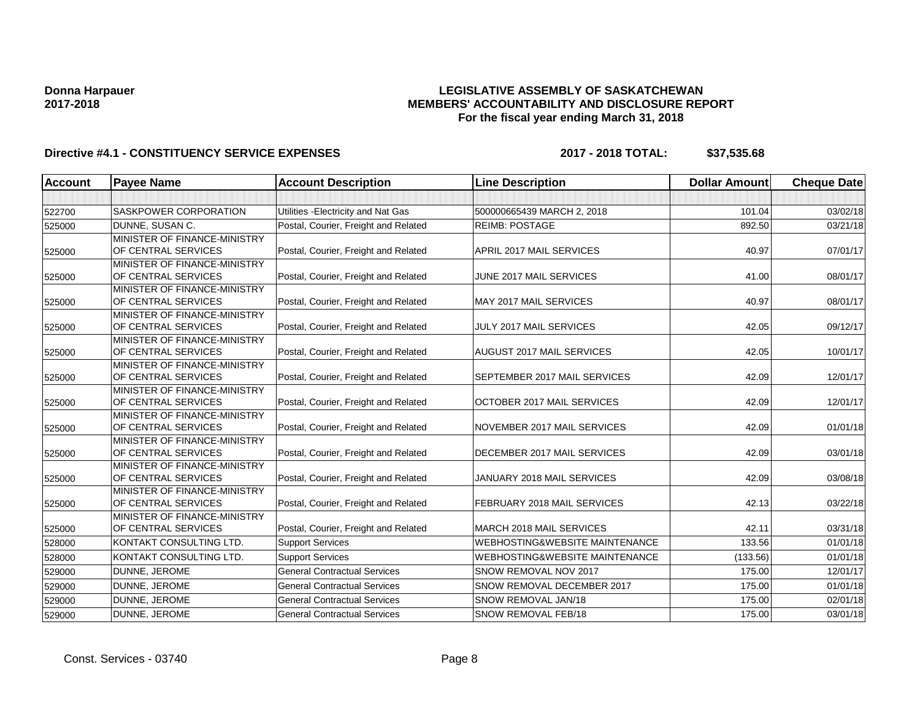## **LEGISLATIVE ASSEMBLY OF SASKATCHEWAN MEMBERS' ACCOUNTABILITY AND DISCLOSURE REPORT For the fiscal year ending March 31, 2018**

| Account | <b>Payee Name</b>                                   | <b>Account Description</b>           | <b>Line Description</b>                   | <b>Dollar Amount</b> | <b>Cheque Date</b> |
|---------|-----------------------------------------------------|--------------------------------------|-------------------------------------------|----------------------|--------------------|
|         |                                                     |                                      |                                           |                      |                    |
| 522700  | <b>SASKPOWER CORPORATION</b>                        | Utilities - Electricity and Nat Gas  | 500000665439 MARCH 2, 2018                | 101.04               | 03/02/18           |
| 525000  | <b>DUNNE, SUSAN C.</b>                              | Postal, Courier, Freight and Related | <b>REIMB: POSTAGE</b>                     | 892.50               | 03/21/18           |
|         | MINISTER OF FINANCE-MINISTRY                        |                                      |                                           |                      |                    |
| 525000  | OF CENTRAL SERVICES                                 | Postal, Courier, Freight and Related | APRIL 2017 MAIL SERVICES                  | 40.97                | 07/01/17           |
|         | MINISTER OF FINANCE-MINISTRY                        |                                      |                                           |                      |                    |
| 525000  | OF CENTRAL SERVICES                                 | Postal, Courier, Freight and Related | JUNE 2017 MAIL SERVICES                   | 41.00                | 08/01/17           |
|         | MINISTER OF FINANCE-MINISTRY                        |                                      |                                           |                      |                    |
| 525000  | OF CENTRAL SERVICES                                 | Postal, Courier, Freight and Related | MAY 2017 MAIL SERVICES                    | 40.97                | 08/01/17           |
|         | MINISTER OF FINANCE-MINISTRY                        |                                      |                                           |                      |                    |
| 525000  | OF CENTRAL SERVICES                                 | Postal, Courier, Freight and Related | JULY 2017 MAIL SERVICES                   | 42.05                | 09/12/17           |
|         | MINISTER OF FINANCE-MINISTRY<br>OF CENTRAL SERVICES |                                      | AUGUST 2017 MAIL SERVICES                 |                      |                    |
| 525000  | MINISTER OF FINANCE-MINISTRY                        | Postal, Courier, Freight and Related |                                           | 42.05                | 10/01/17           |
| 525000  | OF CENTRAL SERVICES                                 | Postal, Courier, Freight and Related | SEPTEMBER 2017 MAIL SERVICES              | 42.09                | 12/01/17           |
|         | MINISTER OF FINANCE-MINISTRY                        |                                      |                                           |                      |                    |
| 525000  | OF CENTRAL SERVICES                                 | Postal, Courier, Freight and Related | OCTOBER 2017 MAIL SERVICES                | 42.09                | 12/01/17           |
|         | MINISTER OF FINANCE-MINISTRY                        |                                      |                                           |                      |                    |
| 525000  | OF CENTRAL SERVICES                                 | Postal, Courier, Freight and Related | NOVEMBER 2017 MAIL SERVICES               | 42.09                | 01/01/18           |
|         | MINISTER OF FINANCE-MINISTRY                        |                                      |                                           |                      |                    |
| 525000  | OF CENTRAL SERVICES                                 | Postal, Courier, Freight and Related | DECEMBER 2017 MAIL SERVICES               | 42.09                | 03/01/18           |
|         | MINISTER OF FINANCE-MINISTRY                        |                                      |                                           |                      |                    |
| 525000  | OF CENTRAL SERVICES                                 | Postal, Courier, Freight and Related | JANUARY 2018 MAIL SERVICES                | 42.09                | 03/08/18           |
|         | MINISTER OF FINANCE-MINISTRY                        |                                      |                                           |                      |                    |
| 525000  | OF CENTRAL SERVICES                                 | Postal, Courier, Freight and Related | FEBRUARY 2018 MAIL SERVICES               | 42.13                | 03/22/18           |
|         | MINISTER OF FINANCE-MINISTRY                        |                                      |                                           |                      |                    |
| 525000  | OF CENTRAL SERVICES                                 | Postal, Courier, Freight and Related | MARCH 2018 MAIL SERVICES                  | 42.11                | 03/31/18           |
| 528000  | KONTAKT CONSULTING LTD.                             | <b>Support Services</b>              | <b>WEBHOSTING&amp;WEBSITE MAINTENANCE</b> | 133.56               | 01/01/18           |
| 528000  | KONTAKT CONSULTING LTD.                             | <b>Support Services</b>              | <b>WEBHOSTING&amp;WEBSITE MAINTENANCE</b> | (133.56)             | 01/01/18           |
| 529000  | DUNNE, JEROME                                       | <b>General Contractual Services</b>  | SNOW REMOVAL NOV 2017                     | 175.00               | 12/01/17           |
| 529000  | DUNNE, JEROME                                       | <b>General Contractual Services</b>  | SNOW REMOVAL DECEMBER 2017                | 175.00               | 01/01/18           |
| 529000  | DUNNE, JEROME                                       | <b>General Contractual Services</b>  | SNOW REMOVAL JAN/18                       | 175.00               | 02/01/18           |
| 529000  | DUNNE, JEROME                                       | <b>General Contractual Services</b>  | SNOW REMOVAL FEB/18                       | 175.00               | 03/01/18           |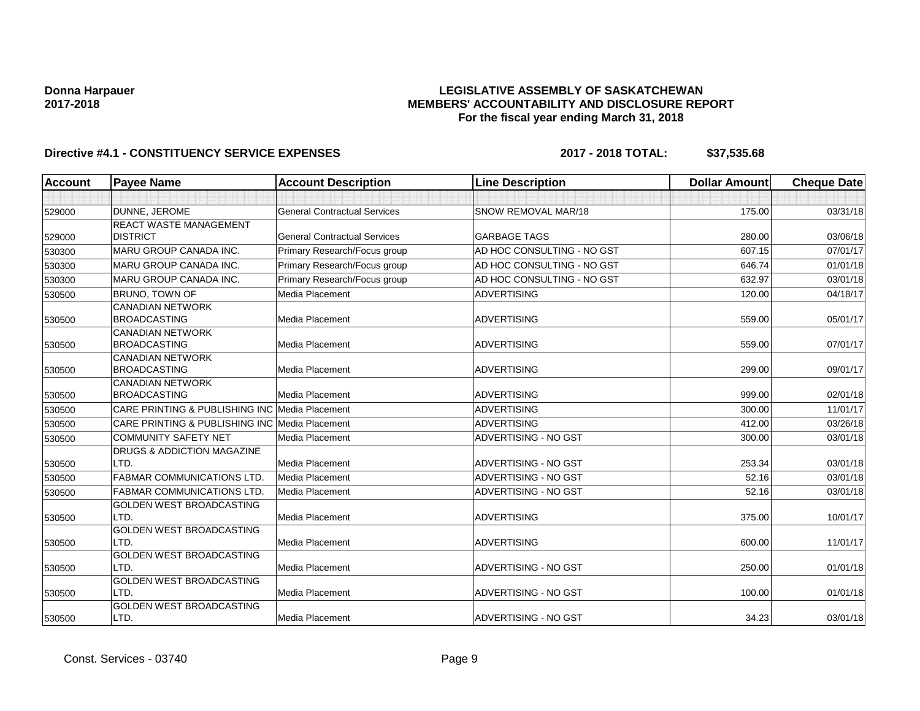## **LEGISLATIVE ASSEMBLY OF SASKATCHEWAN MEMBERS' ACCOUNTABILITY AND DISCLOSURE REPORT For the fiscal year ending March 31, 2018**

| Account | <b>Payee Name</b>                              | <b>Account Description</b>          | <b>Line Description</b>    | <b>Dollar Amount</b> | <b>Cheque Date</b> |
|---------|------------------------------------------------|-------------------------------------|----------------------------|----------------------|--------------------|
|         |                                                |                                     |                            |                      |                    |
| 529000  | DUNNE, JEROME                                  | <b>General Contractual Services</b> | SNOW REMOVAL MAR/18        | 175.00               | 03/31/18           |
|         | REACT WASTE MANAGEMENT                         |                                     |                            |                      |                    |
| 529000  | <b>DISTRICT</b>                                | <b>General Contractual Services</b> | <b>GARBAGE TAGS</b>        | 280.00               | 03/06/18           |
| 530300  | <b>MARU GROUP CANADA INC.</b>                  | Primary Research/Focus group        | AD HOC CONSULTING - NO GST | 607.15               | 07/01/17           |
| 530300  | <b>MARU GROUP CANADA INC.</b>                  | Primary Research/Focus group        | AD HOC CONSULTING - NO GST | 646.74               | 01/01/18           |
| 530300  | <b>MARU GROUP CANADA INC.</b>                  | Primary Research/Focus group        | AD HOC CONSULTING - NO GST | 632.97               | 03/01/18           |
| 530500  | BRUNO, TOWN OF                                 | Media Placement                     | <b>ADVERTISING</b>         | 120.00               | 04/18/17           |
| 530500  | <b>CANADIAN NETWORK</b><br><b>BROADCASTING</b> | Media Placement                     | <b>ADVERTISING</b>         | 559.00               | 05/01/17           |
| 530500  | <b>CANADIAN NETWORK</b><br><b>BROADCASTING</b> | Media Placement                     | <b>ADVERTISING</b>         | 559.00               | 07/01/17           |
| 530500  | <b>CANADIAN NETWORK</b><br><b>BROADCASTING</b> | Media Placement                     | <b>ADVERTISING</b>         | 299.00               | 09/01/17           |
| 530500  | <b>CANADIAN NETWORK</b><br><b>BROADCASTING</b> | Media Placement                     | <b>ADVERTISING</b>         | 999.00               | 02/01/18           |
| 530500  | CARE PRINTING & PUBLISHING INC Media Placement |                                     | <b>ADVERTISING</b>         | 300.00               | 11/01/17           |
| 530500  | CARE PRINTING & PUBLISHING INC Media Placement |                                     | <b>ADVERTISING</b>         | 412.00               | 03/26/18           |
| 530500  | COMMUNITY SAFETY NET                           | Media Placement                     | ADVERTISING - NO GST       | 300.00               | 03/01/18           |
| 530500  | DRUGS & ADDICTION MAGAZINE<br>LTD.             | Media Placement                     | ADVERTISING - NO GST       | 253.34               | 03/01/18           |
| 530500  | <b>FABMAR COMMUNICATIONS LTD</b>               | Media Placement                     | ADVERTISING - NO GST       | 52.16                | 03/01/18           |
| 530500  | <b>FABMAR COMMUNICATIONS LTD.</b>              | Media Placement                     | ADVERTISING - NO GST       | 52.16                | 03/01/18           |
| 530500  | GOLDEN WEST BROADCASTING<br>LTD.               | Media Placement                     | <b>ADVERTISING</b>         | 375.00               | 10/01/17           |
| 530500  | GOLDEN WEST BROADCASTING<br>LTD.               | Media Placement                     | <b>ADVERTISING</b>         | 600.00               | 11/01/17           |
| 530500  | <b>GOLDEN WEST BROADCASTING</b><br>LTD.        | Media Placement                     | ADVERTISING - NO GST       | 250.00               | 01/01/18           |
| 530500  | <b>GOLDEN WEST BROADCASTING</b><br>LTD.        | Media Placement                     | ADVERTISING - NO GST       | 100.00               | 01/01/18           |
| 530500  | <b>GOLDEN WEST BROADCASTING</b><br>LTD.        | Media Placement                     | ADVERTISING - NO GST       | 34.23                | 03/01/18           |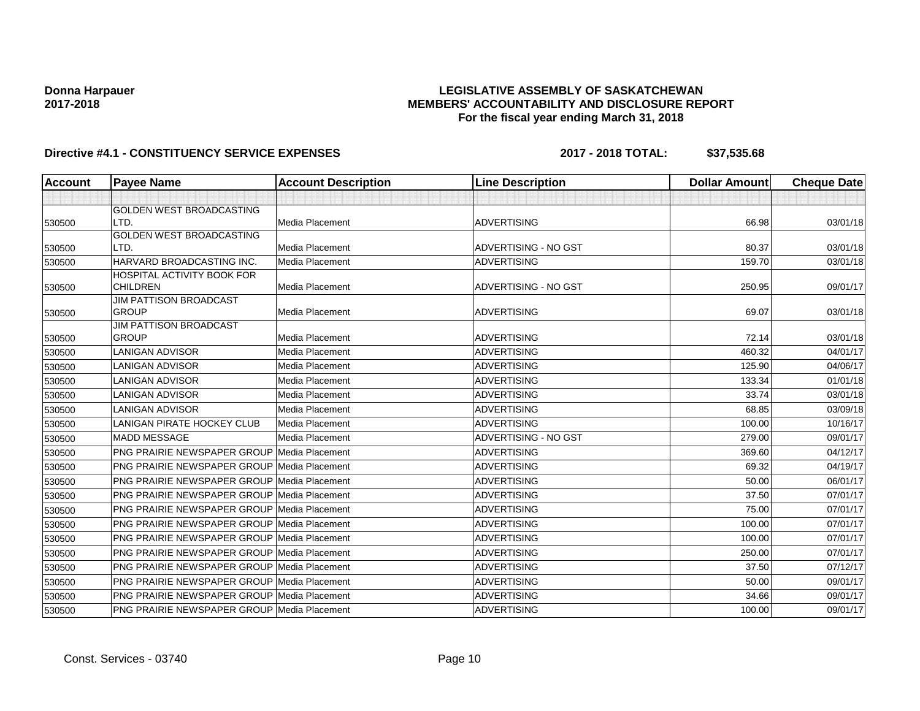## **LEGISLATIVE ASSEMBLY OF SASKATCHEWAN MEMBERS' ACCOUNTABILITY AND DISCLOSURE REPORT For the fiscal year ending March 31, 2018**

| <b>Account</b> | <b>Payee Name</b>                                  | <b>Account Description</b> | <b>Line Description</b> | <b>Dollar Amount</b> | <b>Cheque Date</b> |
|----------------|----------------------------------------------------|----------------------------|-------------------------|----------------------|--------------------|
|                |                                                    |                            |                         |                      |                    |
|                | <b>GOLDEN WEST BROADCASTING</b>                    |                            |                         |                      |                    |
| 530500         | LTD.                                               | <b>Media Placement</b>     | <b>ADVERTISING</b>      | 66.98                | 03/01/18           |
|                | GOLDEN WEST BROADCASTING                           |                            |                         |                      |                    |
| 530500         | LTD.                                               | <b>Media Placement</b>     | ADVERTISING - NO GST    | 80.37                | 03/01/18           |
| 530500         | HARVARD BROADCASTING INC.                          | Media Placement            | <b>ADVERTISING</b>      | 159.70               | 03/01/18           |
|                | HOSPITAL ACTIVITY BOOK FOR                         |                            |                         |                      |                    |
| 530500         | <b>CHILDREN</b>                                    | Media Placement            | ADVERTISING - NO GST    | 250.95               | 09/01/17           |
|                | <b>JIM PATTISON BROADCAST</b><br><b>GROUP</b>      | Media Placement            | <b>ADVERTISING</b>      | 69.07                | 03/01/18           |
| 530500         | <b>JIM PATTISON BROADCAST</b>                      |                            |                         |                      |                    |
| 530500         | <b>GROUP</b>                                       | Media Placement            | <b>ADVERTISING</b>      | 72.14                | 03/01/18           |
| 530500         | <b>LANIGAN ADVISOR</b>                             | <b>Media Placement</b>     | <b>ADVERTISING</b>      | 460.32               | 04/01/17           |
| 530500         | <b>LANIGAN ADVISOR</b>                             | Media Placement            | <b>ADVERTISING</b>      | 125.90               | 04/06/17           |
| 530500         | <b>LANIGAN ADVISOR</b>                             | <b>Media Placement</b>     | <b>ADVERTISING</b>      | 133.34               | 01/01/18           |
| 530500         | <b>LANIGAN ADVISOR</b>                             | <b>Media Placement</b>     | <b>ADVERTISING</b>      | 33.74                | 03/01/18           |
| 530500         | <b>LANIGAN ADVISOR</b>                             | Media Placement            | <b>ADVERTISING</b>      | 68.85                | 03/09/18           |
| 530500         | LANIGAN PIRATE HOCKEY CLUB                         | Media Placement            | <b>ADVERTISING</b>      | 100.00               | 10/16/17           |
| 530500         | <b>MADD MESSAGE</b>                                | Media Placement            | ADVERTISING - NO GST    | 279.00               | 09/01/17           |
| 530500         | PNG PRAIRIE NEWSPAPER GROUP Media Placement        |                            | <b>ADVERTISING</b>      | 369.60               | 04/12/17           |
| 530500         | <b>PNG PRAIRIE NEWSPAPER GROUP Media Placement</b> |                            | <b>ADVERTISING</b>      | 69.32                | 04/19/17           |
| 530500         | <b>PNG PRAIRIE NEWSPAPER GROUP Media Placement</b> |                            | <b>ADVERTISING</b>      | 50.00                | 06/01/17           |
| 530500         | <b>PNG PRAIRIE NEWSPAPER GROUP Media Placement</b> |                            | <b>ADVERTISING</b>      | 37.50                | 07/01/17           |
| 530500         | PNG PRAIRIE NEWSPAPER GROUP Media Placement        |                            | <b>ADVERTISING</b>      | 75.00                | 07/01/17           |
| 530500         | PNG PRAIRIE NEWSPAPER GROUP Media Placement        |                            | <b>ADVERTISING</b>      | 100.00               | 07/01/17           |
| 530500         | <b>PNG PRAIRIE NEWSPAPER GROUP Media Placement</b> |                            | <b>ADVERTISING</b>      | 100.00               | 07/01/17           |
| 530500         | <b>PNG PRAIRIE NEWSPAPER GROUP Media Placement</b> |                            | <b>ADVERTISING</b>      | 250.00               | 07/01/17           |
| 530500         | <b>PNG PRAIRIE NEWSPAPER GROUP Media Placement</b> |                            | <b>ADVERTISING</b>      | 37.50                | 07/12/17           |
| 530500         | <b>PNG PRAIRIE NEWSPAPER GROUP Media Placement</b> |                            | <b>ADVERTISING</b>      | 50.00                | 09/01/17           |
| 530500         | PNG PRAIRIE NEWSPAPER GROUP Media Placement        |                            | <b>ADVERTISING</b>      | 34.66                | 09/01/17           |
| 530500         | PNG PRAIRIE NEWSPAPER GROUP Media Placement        |                            | <b>ADVERTISING</b>      | 100.00               | 09/01/17           |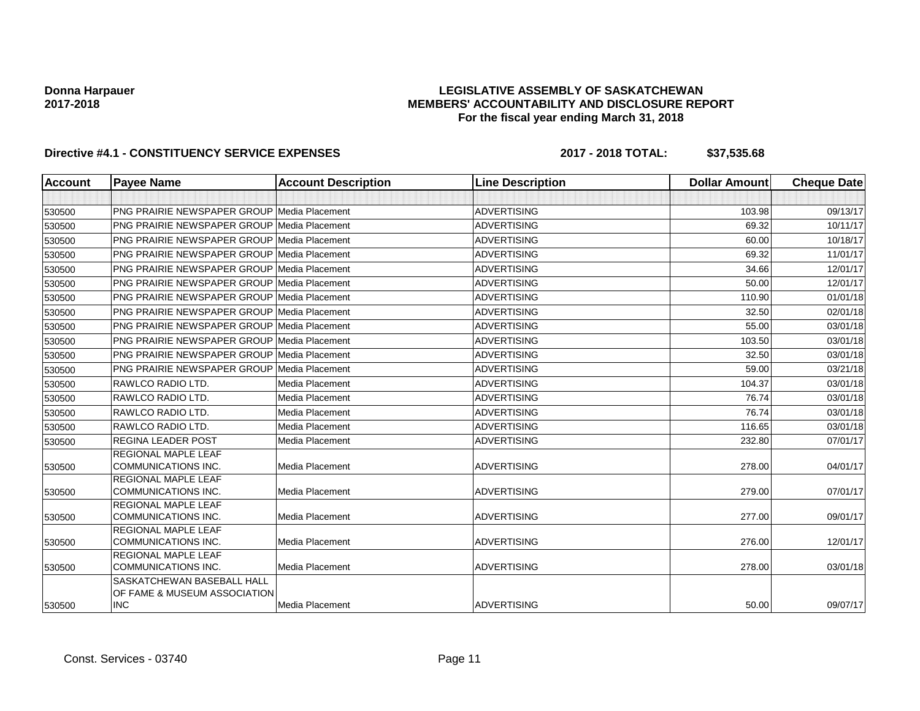## **LEGISLATIVE ASSEMBLY OF SASKATCHEWAN MEMBERS' ACCOUNTABILITY AND DISCLOSURE REPORT For the fiscal year ending March 31, 2018**

| <b>Account</b> | <b>Payee Name</b>                                  | <b>Account Description</b> | <b>Line Description</b> | <b>Dollar Amount</b> | <b>Cheque Date</b> |
|----------------|----------------------------------------------------|----------------------------|-------------------------|----------------------|--------------------|
|                |                                                    |                            |                         |                      |                    |
| 530500         | PNG PRAIRIE NEWSPAPER GROUP Media Placement        |                            | <b>ADVERTISING</b>      | 103.98               | 09/13/17           |
| 530500         | <b>PNG PRAIRIE NEWSPAPER GROUP Media Placement</b> |                            | <b>ADVERTISING</b>      | 69.32                | 10/11/17           |
| 530500         | <b>PNG PRAIRIE NEWSPAPER GROUP Media Placement</b> |                            | <b>ADVERTISING</b>      | 60.00                | 10/18/17           |
| 530500         | <b>PNG PRAIRIE NEWSPAPER GROUP Media Placement</b> |                            | <b>ADVERTISING</b>      | 69.32                | 11/01/17           |
| 530500         | <b>PNG PRAIRIE NEWSPAPER GROUP Media Placement</b> |                            | <b>ADVERTISING</b>      | 34.66                | 12/01/17           |
| 530500         | <b>PNG PRAIRIE NEWSPAPER GROUP Media Placement</b> |                            | <b>ADVERTISING</b>      | 50.00                | 12/01/17           |
| 530500         | <b>PNG PRAIRIE NEWSPAPER GROUP Media Placement</b> |                            | ADVERTISING             | 110.90               | 01/01/18           |
| 530500         | <b>PNG PRAIRIE NEWSPAPER GROUP Media Placement</b> |                            | <b>ADVERTISING</b>      | 32.50                | 02/01/18           |
| 530500         | <b>PNG PRAIRIE NEWSPAPER GROUP Media Placement</b> |                            | <b>ADVERTISING</b>      | 55.00                | 03/01/18           |
| 530500         | <b>PNG PRAIRIE NEWSPAPER GROUP Media Placement</b> |                            | <b>ADVERTISING</b>      | 103.50               | 03/01/18           |
| 530500         | <b>PNG PRAIRIE NEWSPAPER GROUP Media Placement</b> |                            | <b>ADVERTISING</b>      | 32.50                | 03/01/18           |
| 530500         | <b>PNG PRAIRIE NEWSPAPER GROUP Media Placement</b> |                            | <b>ADVERTISING</b>      | 59.00                | 03/21/18           |
| 530500         | RAWLCO RADIO LTD.                                  | Media Placement            | <b>ADVERTISING</b>      | 104.37               | 03/01/18           |
| 530500         | <b>RAWLCO RADIO LTD.</b>                           | Media Placement            | <b>ADVERTISING</b>      | 76.74                | 03/01/18           |
| 530500         | RAWLCO RADIO LTD.                                  | Media Placement            | <b>ADVERTISING</b>      | 76.74                | 03/01/18           |
| 530500         | RAWLCO RADIO LTD.                                  | Media Placement            | <b>ADVERTISING</b>      | 116.65               | 03/01/18           |
| 530500         | <b>REGINA LEADER POST</b>                          | Media Placement            | <b>ADVERTISING</b>      | 232.80               | 07/01/17           |
|                | <b>REGIONAL MAPLE LEAF</b>                         |                            |                         |                      |                    |
| 530500         | <b>COMMUNICATIONS INC.</b>                         | Media Placement            | <b>ADVERTISING</b>      | 278.00               | 04/01/17           |
|                | <b>REGIONAL MAPLE LEAF</b>                         |                            |                         |                      |                    |
| 530500         | <b>COMMUNICATIONS INC.</b>                         | Media Placement            | <b>ADVERTISING</b>      | 279.00               | 07/01/17           |
|                | <b>REGIONAL MAPLE LEAF</b>                         |                            |                         |                      |                    |
| 530500         | <b>COMMUNICATIONS INC.</b>                         | Media Placement            | <b>ADVERTISING</b>      | 277.00               | 09/01/17           |
|                | <b>REGIONAL MAPLE LEAF</b>                         | <b>Media Placement</b>     | <b>ADVERTISING</b>      |                      |                    |
| 530500         | <b>COMMUNICATIONS INC.</b>                         |                            |                         | 276.00               | 12/01/17           |
|                | REGIONAL MAPLE LEAF                                |                            |                         |                      |                    |
| 530500         | <b>COMMUNICATIONS INC.</b>                         | Media Placement            | <b>ADVERTISING</b>      | 278.00               | 03/01/18           |
|                | <b>SASKATCHEWAN BASEBALL HALL</b>                  |                            |                         |                      |                    |
|                | OF FAME & MUSEUM ASSOCIATION                       |                            |                         |                      |                    |
| 530500         | <b>INC</b>                                         | Media Placement            | <b>ADVERTISING</b>      | 50.00                | 09/07/17           |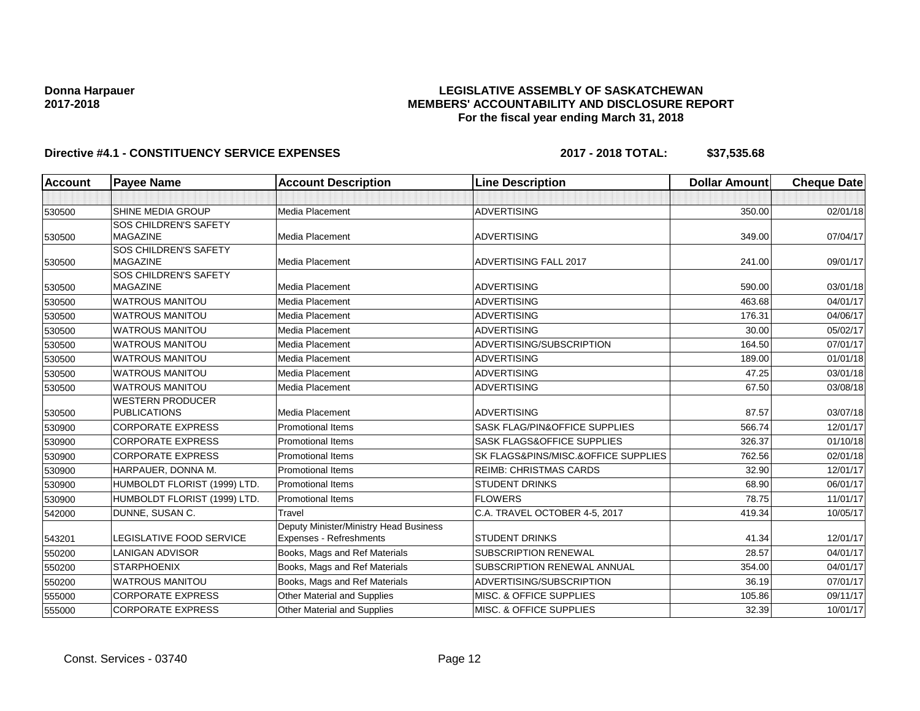## **LEGISLATIVE ASSEMBLY OF SASKATCHEWAN MEMBERS' ACCOUNTABILITY AND DISCLOSURE REPORT For the fiscal year ending March 31, 2018**

| <b>Account</b> | <b>Payee Name</b>               | <b>Account Description</b>             | <b>Line Description</b>               | <b>Dollar Amount</b> | <b>Cheque Date</b> |
|----------------|---------------------------------|----------------------------------------|---------------------------------------|----------------------|--------------------|
|                |                                 |                                        |                                       |                      |                    |
| 530500         | SHINE MEDIA GROUP               | Media Placement                        | <b>ADVERTISING</b>                    | 350.00               | 02/01/18           |
|                | <b>SOS CHILDREN'S SAFETY</b>    |                                        |                                       |                      |                    |
| 530500         | <b>MAGAZINE</b>                 | Media Placement                        | <b>ADVERTISING</b>                    | 349.00               | 07/04/17           |
|                | <b>SOS CHILDREN'S SAFETY</b>    |                                        |                                       |                      |                    |
| 530500         | <b>MAGAZINE</b>                 | <b>Media Placement</b>                 | <b>ADVERTISING FALL 2017</b>          | 241.00               | 09/01/17           |
|                | <b>SOS CHILDREN'S SAFETY</b>    |                                        |                                       |                      |                    |
| 530500         | <b>MAGAZINE</b>                 | <b>Media Placement</b>                 | <b>ADVERTISING</b>                    | 590.00               | 03/01/18           |
| 530500         | <b>WATROUS MANITOU</b>          | Media Placement                        | <b>ADVERTISING</b>                    | 463.68               | 04/01/17           |
| 530500         | <b>WATROUS MANITOU</b>          | Media Placement                        | <b>ADVERTISING</b>                    | 176.31               | 04/06/17           |
| 530500         | <b>WATROUS MANITOU</b>          | Media Placement                        | <b>ADVERTISING</b>                    | 30.00                | 05/02/17           |
| 530500         | <b>WATROUS MANITOU</b>          | Media Placement                        | ADVERTISING/SUBSCRIPTION              | 164.50               | 07/01/17           |
| 530500         | <b>WATROUS MANITOU</b>          | Media Placement                        | <b>ADVERTISING</b>                    | 189.00               | 01/01/18           |
| 530500         | <b>WATROUS MANITOU</b>          | Media Placement                        | <b>ADVERTISING</b>                    | 47.25                | 03/01/18           |
| 530500         | <b>WATROUS MANITOU</b>          | Media Placement                        | <b>ADVERTISING</b>                    | 67.50                | 03/08/18           |
|                | <b>WESTERN PRODUCER</b>         |                                        |                                       |                      |                    |
| 530500         | <b>PUBLICATIONS</b>             | Media Placement                        | <b>ADVERTISING</b>                    | 87.57                | 03/07/18           |
| 530900         | <b>CORPORATE EXPRESS</b>        | <b>Promotional Items</b>               | SASK FLAG/PIN&OFFICE SUPPLIES         | 566.74               | 12/01/17           |
| 530900         | <b>CORPORATE EXPRESS</b>        | <b>Promotional Items</b>               | <b>SASK FLAGS&amp;OFFICE SUPPLIES</b> | 326.37               | 01/10/18           |
| 530900         | <b>CORPORATE EXPRESS</b>        | <b>Promotional Items</b>               | SK FLAGS&PINS/MISC.&OFFICE SUPPLIES   | 762.56               | 02/01/18           |
| 530900         | HARPAUER, DONNA M.              | <b>Promotional Items</b>               | <b>REIMB: CHRISTMAS CARDS</b>         | 32.90                | 12/01/17           |
| 530900         | HUMBOLDT FLORIST (1999) LTD.    | <b>Promotional Items</b>               | <b>STUDENT DRINKS</b>                 | 68.90                | 06/01/17           |
| 530900         | HUMBOLDT FLORIST (1999) LTD.    | <b>Promotional Items</b>               | <b>FLOWERS</b>                        | 78.75                | 11/01/17           |
| 542000         | DUNNE, SUSAN C.                 | Travel                                 | C.A. TRAVEL OCTOBER 4-5, 2017         | 419.34               | 10/05/17           |
|                |                                 | Deputy Minister/Ministry Head Business |                                       |                      |                    |
| 543201         | <b>LEGISLATIVE FOOD SERVICE</b> | Expenses - Refreshments                | <b>STUDENT DRINKS</b>                 | 41.34                | 12/01/17           |
| 550200         | <b>LANIGAN ADVISOR</b>          | Books, Mags and Ref Materials          | <b>SUBSCRIPTION RENEWAL</b>           | 28.57                | 04/01/17           |
| 550200         | <b>STARPHOENIX</b>              | Books, Mags and Ref Materials          | SUBSCRIPTION RENEWAL ANNUAL           | 354.00               | 04/01/17           |
| 550200         | <b>WATROUS MANITOU</b>          | Books, Mags and Ref Materials          | ADVERTISING/SUBSCRIPTION              | 36.19                | 07/01/17           |
| 555000         | <b>CORPORATE EXPRESS</b>        | Other Material and Supplies            | <b>MISC. &amp; OFFICE SUPPLIES</b>    | 105.86               | 09/11/17           |
| 555000         | <b>CORPORATE EXPRESS</b>        | Other Material and Supplies            | MISC. & OFFICE SUPPLIES               | 32.39                | 10/01/17           |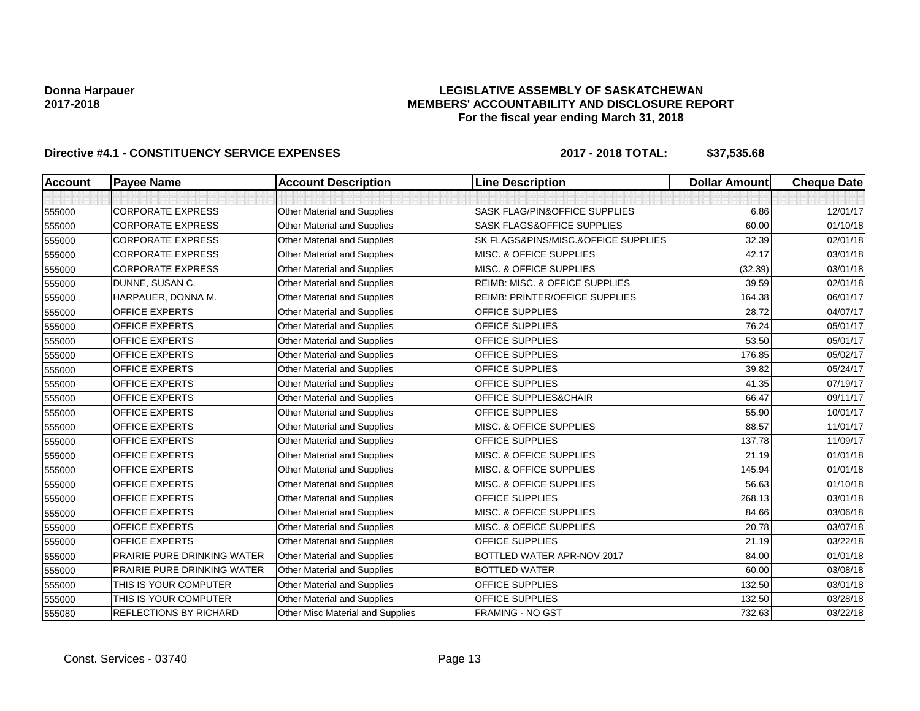## **LEGISLATIVE ASSEMBLY OF SASKATCHEWAN MEMBERS' ACCOUNTABILITY AND DISCLOSURE REPORT For the fiscal year ending March 31, 2018**

| Account | <b>Payee Name</b>                  | <b>Account Description</b>         | <b>Line Description</b>                   | <b>Dollar Amount</b> | <b>Cheque Date</b> |
|---------|------------------------------------|------------------------------------|-------------------------------------------|----------------------|--------------------|
|         |                                    |                                    |                                           |                      |                    |
| 555000  | <b>CORPORATE EXPRESS</b>           | Other Material and Supplies        | SASK FLAG/PIN&OFFICE SUPPLIES             | 6.86                 | 12/01/17           |
| 555000  | <b>CORPORATE EXPRESS</b>           | Other Material and Supplies        | SASK FLAGS&OFFICE SUPPLIES                | 60.00                | 01/10/18           |
| 555000  | <b>CORPORATE EXPRESS</b>           | Other Material and Supplies        | SK FLAGS&PINS/MISC.&OFFICE SUPPLIES       | 32.39                | 02/01/18           |
| 555000  | <b>CORPORATE EXPRESS</b>           | Other Material and Supplies        | MISC. & OFFICE SUPPLIES                   | 42.17                | 03/01/18           |
| 555000  | <b>CORPORATE EXPRESS</b>           | Other Material and Supplies        | <b>MISC. &amp; OFFICE SUPPLIES</b>        | (32.39)              | 03/01/18           |
| 555000  | DUNNE, SUSAN C.                    | Other Material and Supplies        | <b>REIMB: MISC. &amp; OFFICE SUPPLIES</b> | 39.59                | 02/01/18           |
| 555000  | HARPAUER, DONNA M.                 | Other Material and Supplies        | <b>REIMB: PRINTER/OFFICE SUPPLIES</b>     | 164.38               | 06/01/17           |
| 555000  | <b>OFFICE EXPERTS</b>              | Other Material and Supplies        | <b>OFFICE SUPPLIES</b>                    | 28.72                | 04/07/17           |
| 555000  | <b>OFFICE EXPERTS</b>              | Other Material and Supplies        | <b>OFFICE SUPPLIES</b>                    | 76.24                | 05/01/17           |
| 555000  | <b>OFFICE EXPERTS</b>              | Other Material and Supplies        | <b>OFFICE SUPPLIES</b>                    | 53.50                | 05/01/17           |
| 555000  | <b>OFFICE EXPERTS</b>              | Other Material and Supplies        | <b>OFFICE SUPPLIES</b>                    | 176.85               | 05/02/17           |
| 555000  | <b>OFFICE EXPERTS</b>              | Other Material and Supplies        | <b>OFFICE SUPPLIES</b>                    | 39.82                | 05/24/17           |
| 555000  | <b>OFFICE EXPERTS</b>              | Other Material and Supplies        | <b>OFFICE SUPPLIES</b>                    | 41.35                | 07/19/17           |
| 555000  | <b>OFFICE EXPERTS</b>              | Other Material and Supplies        | <b>OFFICE SUPPLIES&amp;CHAIR</b>          | 66.47                | 09/11/17           |
| 555000  | <b>OFFICE EXPERTS</b>              | Other Material and Supplies        | <b>OFFICE SUPPLIES</b>                    | 55.90                | 10/01/17           |
| 555000  | <b>OFFICE EXPERTS</b>              | Other Material and Supplies        | MISC. & OFFICE SUPPLIES                   | 88.57                | 11/01/17           |
| 555000  | <b>OFFICE EXPERTS</b>              | Other Material and Supplies        | <b>OFFICE SUPPLIES</b>                    | 137.78               | 11/09/17           |
| 555000  | <b>OFFICE EXPERTS</b>              | <b>Other Material and Supplies</b> | MISC. & OFFICE SUPPLIES                   | 21.19                | 01/01/18           |
| 555000  | <b>OFFICE EXPERTS</b>              | Other Material and Supplies        | MISC. & OFFICE SUPPLIES                   | 145.94               | 01/01/18           |
| 555000  | <b>OFFICE EXPERTS</b>              | Other Material and Supplies        | <b>MISC. &amp; OFFICE SUPPLIES</b>        | 56.63                | 01/10/18           |
| 555000  | <b>OFFICE EXPERTS</b>              | Other Material and Supplies        | <b>OFFICE SUPPLIES</b>                    | 268.13               | 03/01/18           |
| 555000  | <b>OFFICE EXPERTS</b>              | Other Material and Supplies        | <b>MISC. &amp; OFFICE SUPPLIES</b>        | 84.66                | 03/06/18           |
| 555000  | OFFICE EXPERTS                     | Other Material and Supplies        | MISC. & OFFICE SUPPLIES                   | 20.78                | 03/07/18           |
| 555000  | <b>OFFICE EXPERTS</b>              | Other Material and Supplies        | <b>OFFICE SUPPLIES</b>                    | 21.19                | 03/22/18           |
| 555000  | PRAIRIE PURE DRINKING WATER        | Other Material and Supplies        | BOTTLED WATER APR-NOV 2017                | 84.00                | 01/01/18           |
| 555000  | <b>PRAIRIE PURE DRINKING WATER</b> | Other Material and Supplies        | <b>BOTTLED WATER</b>                      | 60.00                | 03/08/18           |
| 555000  | THIS IS YOUR COMPUTER              | Other Material and Supplies        | <b>OFFICE SUPPLIES</b>                    | 132.50               | 03/01/18           |
| 555000  | THIS IS YOUR COMPUTER              | Other Material and Supplies        | <b>OFFICE SUPPLIES</b>                    | 132.50               | 03/28/18           |
| 555080  | REFLECTIONS BY RICHARD             | Other Misc Material and Supplies   | <b>FRAMING - NO GST</b>                   | 732.63               | 03/22/18           |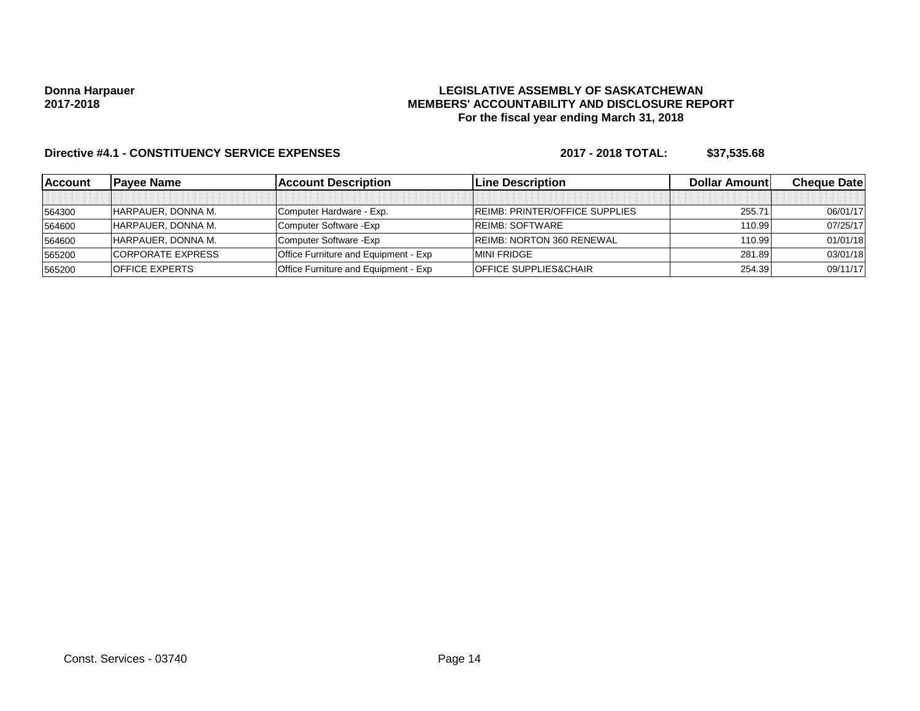## **LEGISLATIVE ASSEMBLY OF SASKATCHEWAN MEMBERS' ACCOUNTABILITY AND DISCLOSURE REPORT For the fiscal year ending March 31, 2018**

| <b>Account</b> | <b>Pavee Name</b>        | <b>Account Description</b>                  | <b>ILine Description</b>              | <b>Dollar Amountl</b> | <b>Cheque Datel</b> |
|----------------|--------------------------|---------------------------------------------|---------------------------------------|-----------------------|---------------------|
|                |                          |                                             |                                       |                       |                     |
| 564300         | HARPAUER, DONNA M.       | Computer Hardware - Exp.                    | <b>REIMB: PRINTER/OFFICE SUPPLIES</b> | 255.71                | 06/01/17            |
| 564600         | HARPAUER, DONNA M.       | Computer Software - Exp                     | <b>REIMB: SOFTWARE</b>                | 110.99                | 07/25/17            |
| 564600         | HARPAUER, DONNA M.       | Computer Software - Exp                     | <b>REIMB: NORTON 360 RENEWAL</b>      | 110.99                | 01/01/18            |
| 565200         | <b>CORPORATE EXPRESS</b> | <b>Office Furniture and Equipment - Exp</b> | <b>MINI FRIDGE</b>                    | 281.89                | 03/01/18            |
| 565200         | <b>IOFFICE EXPERTS</b>   | <b>Office Furniture and Equipment - Exp</b> | <b>OFFICE SUPPLIES&amp;CHAIR</b>      | 254.39                | 09/11/17            |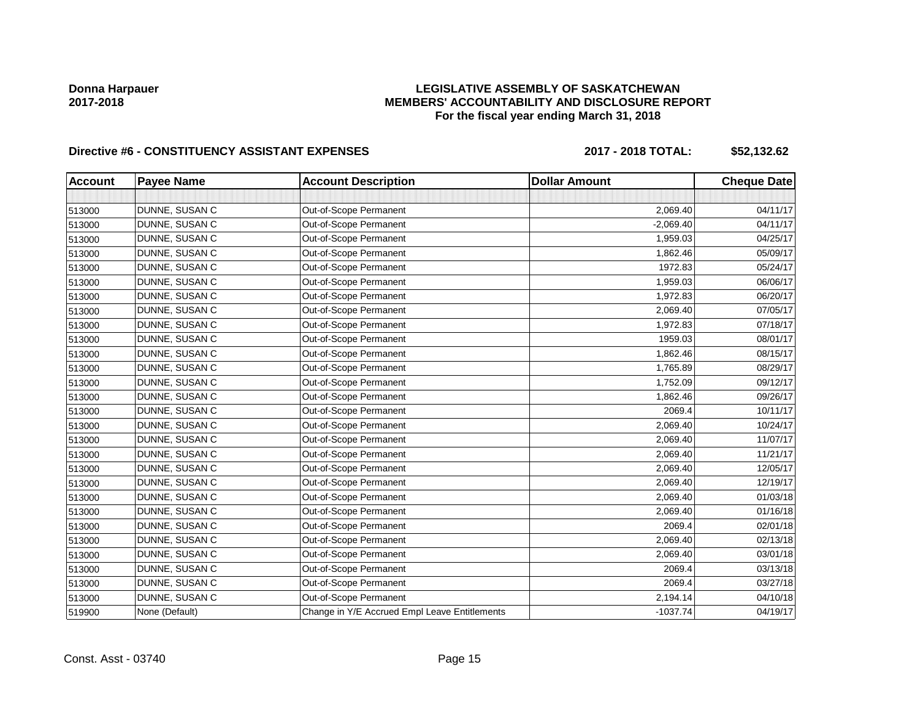## **LEGISLATIVE ASSEMBLY OF SASKATCHEWAN MEMBERS' ACCOUNTABILITY AND DISCLOSURE REPORT For the fiscal year ending March 31, 2018**

# **Directive #6 - CONSTITUENCY ASSISTANT EXPENSES 2017 - 2018 TOTAL: \$52,132.62**

| <b>Account</b> | <b>Payee Name</b> | <b>Account Description</b>                    | <b>Dollar Amount</b> | <b>Cheque Date</b> |
|----------------|-------------------|-----------------------------------------------|----------------------|--------------------|
|                |                   |                                               |                      |                    |
| 513000         | DUNNE, SUSAN C    | Out-of-Scope Permanent                        | 2,069.40             | 04/11/17           |
| 513000         | DUNNE, SUSAN C    | Out-of-Scope Permanent                        | $-2,069.40$          | 04/11/17           |
| 513000         | DUNNE, SUSAN C    | Out-of-Scope Permanent                        | 1,959.03             | 04/25/17           |
| 513000         | DUNNE, SUSAN C    | Out-of-Scope Permanent                        | 1,862.46             | 05/09/17           |
| 513000         | DUNNE, SUSAN C    | Out-of-Scope Permanent                        | 1972.83              | 05/24/17           |
| 513000         | DUNNE, SUSAN C    | Out-of-Scope Permanent                        | 1,959.03             | 06/06/17           |
| 513000         | DUNNE, SUSAN C    | Out-of-Scope Permanent                        | 1,972.83             | 06/20/17           |
| 513000         | DUNNE, SUSAN C    | Out-of-Scope Permanent                        | 2,069.40             | 07/05/17           |
| 513000         | DUNNE, SUSAN C    | Out-of-Scope Permanent                        | 1,972.83             | 07/18/17           |
| 513000         | DUNNE, SUSAN C    | Out-of-Scope Permanent                        | 1959.03              | 08/01/17           |
| 513000         | DUNNE, SUSAN C    | Out-of-Scope Permanent                        | 1,862.46             | 08/15/17           |
| 513000         | DUNNE, SUSAN C    | Out-of-Scope Permanent                        | 1,765.89             | 08/29/17           |
| 513000         | DUNNE, SUSAN C    | Out-of-Scope Permanent                        | 1,752.09             | 09/12/17           |
| 513000         | DUNNE, SUSAN C    | Out-of-Scope Permanent                        | 1,862.46             | 09/26/17           |
| 513000         | DUNNE, SUSAN C    | Out-of-Scope Permanent                        | 2069.4               | 10/11/17           |
| 513000         | DUNNE, SUSAN C    | Out-of-Scope Permanent                        | 2,069.40             | 10/24/17           |
| 513000         | DUNNE, SUSAN C    | Out-of-Scope Permanent                        | 2,069.40             | 11/07/17           |
| 513000         | DUNNE, SUSAN C    | Out-of-Scope Permanent                        | 2,069.40             | 11/21/17           |
| 513000         | DUNNE, SUSAN C    | Out-of-Scope Permanent                        | 2,069.40             | 12/05/17           |
| 513000         | DUNNE, SUSAN C    | Out-of-Scope Permanent                        | 2,069.40             | 12/19/17           |
| 513000         | DUNNE, SUSAN C    | Out-of-Scope Permanent                        | 2,069.40             | 01/03/18           |
| 513000         | DUNNE, SUSAN C    | Out-of-Scope Permanent                        | 2,069.40             | 01/16/18           |
| 513000         | DUNNE, SUSAN C    | Out-of-Scope Permanent                        | 2069.4               | 02/01/18           |
| 513000         | DUNNE, SUSAN C    | Out-of-Scope Permanent                        | 2,069.40             | 02/13/18           |
| 513000         | DUNNE, SUSAN C    | Out-of-Scope Permanent                        | 2,069.40             | 03/01/18           |
| 513000         | DUNNE, SUSAN C    | Out-of-Scope Permanent                        | 2069.4               | 03/13/18           |
| 513000         | DUNNE, SUSAN C    | Out-of-Scope Permanent                        | 2069.4               | 03/27/18           |
| 513000         | DUNNE, SUSAN C    | Out-of-Scope Permanent                        | 2,194.14             | 04/10/18           |
| 519900         | None (Default)    | Change in Y/E Accrued Empl Leave Entitlements | $-1037.74$           | 04/19/17           |